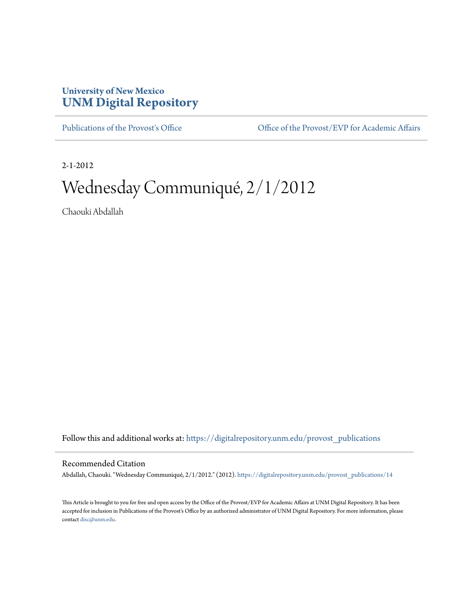## **University of New Mexico [UNM Digital Repository](https://digitalrepository.unm.edu?utm_source=digitalrepository.unm.edu%2Fprovost_publications%2F14&utm_medium=PDF&utm_campaign=PDFCoverPages)**

[Publications of the Provost's Office](https://digitalrepository.unm.edu/provost_publications?utm_source=digitalrepository.unm.edu%2Fprovost_publications%2F14&utm_medium=PDF&utm_campaign=PDFCoverPages) Office [Office of the Provost/EVP for Academic Affairs](https://digitalrepository.unm.edu/ofc_provost?utm_source=digitalrepository.unm.edu%2Fprovost_publications%2F14&utm_medium=PDF&utm_campaign=PDFCoverPages)

2-1-2012

# Wednesday Communiqué, 2/1/2012

Chaouki Abdallah

Follow this and additional works at: [https://digitalrepository.unm.edu/provost\\_publications](https://digitalrepository.unm.edu/provost_publications?utm_source=digitalrepository.unm.edu%2Fprovost_publications%2F14&utm_medium=PDF&utm_campaign=PDFCoverPages)

#### Recommended Citation

Abdallah, Chaouki. "Wednesday Communiqué, 2/1/2012." (2012). [https://digitalrepository.unm.edu/provost\\_publications/14](https://digitalrepository.unm.edu/provost_publications/14?utm_source=digitalrepository.unm.edu%2Fprovost_publications%2F14&utm_medium=PDF&utm_campaign=PDFCoverPages)

This Article is brought to you for free and open access by the Office of the Provost/EVP for Academic Affairs at UNM Digital Repository. It has been accepted for inclusion in Publications of the Provost's Office by an authorized administrator of UNM Digital Repository. For more information, please contact [disc@unm.edu.](mailto:disc@unm.edu)